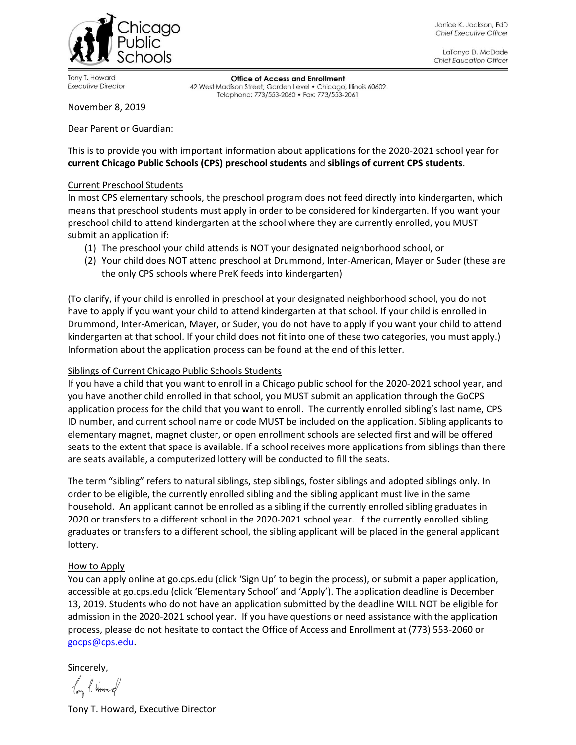LaTanya D. McDade **Chief Education Officer** 



Tony T. Howard **Executive Director** 

Office of Access and Enrollment 42 West Madison Street, Garden Level . Chicago, Illinois 60602 Telephone: 773/553-2060 • Fax: 773/553-2061

November 8, 2019

Dear Parent or Guardian:

This is to provide you with important information about applications for the 2020-2021 school year for **current Chicago Public Schools (CPS) preschool students** and **siblings of current CPS students**.

### Current Preschool Students

In most CPS elementary schools, the preschool program does not feed directly into kindergarten, which means that preschool students must apply in order to be considered for kindergarten. If you want your preschool child to attend kindergarten at the school where they are currently enrolled, you MUST submit an application if:

- (1) The preschool your child attends is NOT your designated neighborhood school, or
- (2) Your child does NOT attend preschool at Drummond, Inter-American, Mayer or Suder (these are the only CPS schools where PreK feeds into kindergarten)

(To clarify, if your child is enrolled in preschool at your designated neighborhood school, you do not have to apply if you want your child to attend kindergarten at that school. If your child is enrolled in Drummond, Inter-American, Mayer, or Suder, you do not have to apply if you want your child to attend kindergarten at that school. If your child does not fit into one of these two categories, you must apply.) Information about the application process can be found at the end of this letter.

## Siblings of Current Chicago Public Schools Students

If you have a child that you want to enroll in a Chicago public school for the 2020-2021 school year, and you have another child enrolled in that school, you MUST submit an application through the GoCPS application process for the child that you want to enroll. The currently enrolled sibling's last name, CPS ID number, and current school name or code MUST be included on the application. Sibling applicants to elementary magnet, magnet cluster, or open enrollment schools are selected first and will be offered seats to the extent that space is available. If a school receives more applications from siblings than there are seats available, a computerized lottery will be conducted to fill the seats.

The term "sibling" refers to natural siblings, step siblings, foster siblings and adopted siblings only. In order to be eligible, the currently enrolled sibling and the sibling applicant must live in the same household. An applicant cannot be enrolled as a sibling if the currently enrolled sibling graduates in 2020 or transfers to a different school in the 2020-2021 school year. If the currently enrolled sibling graduates or transfers to a different school, the sibling applicant will be placed in the general applicant lottery.

## How to Apply

You can apply online at go.cps.edu (click 'Sign Up' to begin the process), or submit a paper application, accessible at go.cps.edu (click 'Elementary School' and 'Apply'). The application deadline is December 13, 2019. Students who do not have an application submitted by the deadline WILL NOT be eligible for admission in the 2020-2021 school year. If you have questions or need assistance with the application process, please do not hesitate to contact the Office of Access and Enrollment at (773) 553-2060 or [gocps@cps.edu.](mailto:gocps@cps.edu)

Sincerely,

long P. Howard

Tony T. Howard, Executive Director